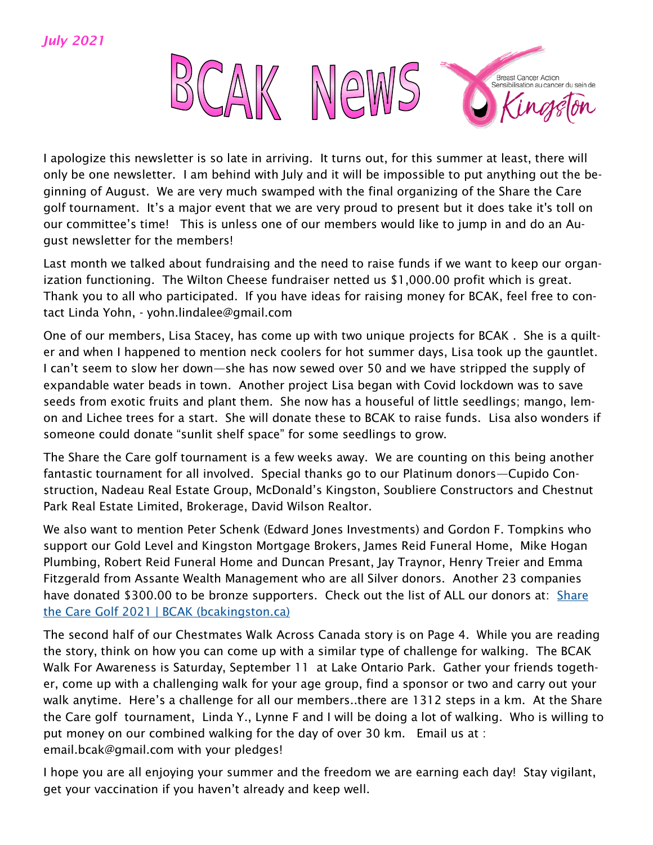

I apologize this newsletter is so late in arriving. It turns out, for this summer at least, there will only be one newsletter. I am behind with July and it will be impossible to put anything out the beginning of August. We are very much swamped with the final organizing of the Share the Care golf tournament. It's a major event that we are very proud to present but it does take it's toll on our committee's time! This is unless one of our members would like to jump in and do an August newsletter for the members!

Last month we talked about fundraising and the need to raise funds if we want to keep our organization functioning. The Wilton Cheese fundraiser netted us \$1,000.00 profit which is great. Thank you to all who participated. If you have ideas for raising money for BCAK, feel free to contact Linda Yohn, - yohn.lindalee@gmail.com

One of our members, Lisa Stacey, has come up with two unique projects for BCAK . She is a quilter and when I happened to mention neck coolers for hot summer days, Lisa took up the gauntlet. I can't seem to slow her down—she has now sewed over 50 and we have stripped the supply of expandable water beads in town. Another project Lisa began with Covid lockdown was to save seeds from exotic fruits and plant them. She now has a houseful of little seedlings; mango, lemon and Lichee trees for a start. She will donate these to BCAK to raise funds. Lisa also wonders if someone could donate "sunlit shelf space" for some seedlings to grow.

The Share the Care golf tournament is a few weeks away. We are counting on this being another fantastic tournament for all involved. Special thanks go to our Platinum donors—Cupido Construction, Nadeau Real Estate Group, McDonald's Kingston, Soubliere Constructors and Chestnut Park Real Estate Limited, Brokerage, David Wilson Realtor.

We also want to mention Peter Schenk (Edward Jones Investments) and Gordon F. Tompkins who support our Gold Level and Kingston Mortgage Brokers, James Reid Funeral Home, Mike Hogan Plumbing, Robert Reid Funeral Home and Duncan Presant, Jay Traynor, Henry Treier and Emma Fitzgerald from Assante Wealth Management who are all Silver donors. Another 23 companies have donated \$300.00 to be bronze supporters. Check out the list of ALL our donors at: Share [the Care Golf 2021 | BCAK \(bcakingston.ca\)](https://www.bcakingston.ca/golf-2021)

The second half of our Chestmates Walk Across Canada story is on Page 4. While you are reading the story, think on how you can come up with a similar type of challenge for walking. The BCAK Walk For Awareness is Saturday, September 11 at Lake Ontario Park. Gather your friends together, come up with a challenging walk for your age group, find a sponsor or two and carry out your walk anytime. Here's a challenge for all our members..there are 1312 steps in a km. At the Share the Care golf tournament, Linda Y., Lynne F and I will be doing a lot of walking. Who is willing to put money on our combined walking for the day of over 30 km. Email us at : email.bcak@gmail.com with your pledges!

I hope you are all enjoying your summer and the freedom we are earning each day! Stay vigilant, get your vaccination if you haven't already and keep well.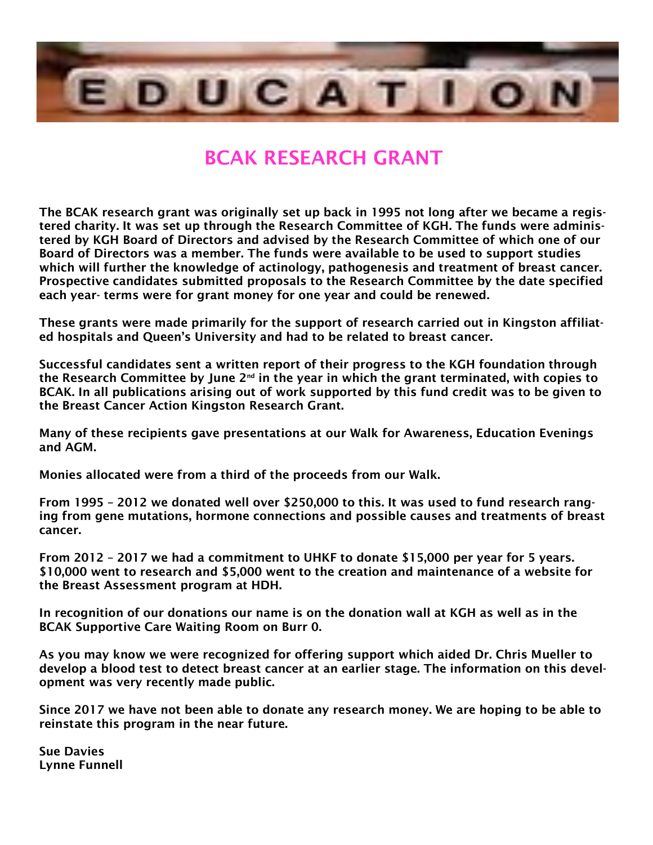

## BCAK RESEARCH GRANT

The BCAK research grant was originally set up back in 1995 not long after we became a registered charity. It was set up through the Research Committee of KGH. The funds were administered by KGH Board of Directors and advised by the Research Committee of which one of our Board of Directors was a member. The funds were available to be used to support studies which will further the knowledge of actinology, pathogenesis and treatment of breast cancer. Prospective candidates submitted proposals to the Research Committee by the date specified each year- terms were for grant money for one year and could be renewed.

These grants were made primarily for the support of research carried out in Kingston affiliated hospitals and Queen's University and had to be related to breast cancer.

Successful candidates sent a written report of their progress to the KGH foundation through the Research Committee by June 2<sup>nd</sup> in the year in which the grant terminated, with copies to BCAK. In all publications arising out of work supported by this fund credit was to be given to the Breast Cancer Action Kingston Research Grant.

Many of these recipients gave presentations at our Walk for Awareness, Education Evenings and AGM.

Monies allocated were from a third of the proceeds from our Walk.

From 1995 – 2012 we donated well over \$250,000 to this. It was used to fund research ranging from gene mutations, hormone connections and possible causes and treatments of breast cancer.

From 2012 – 2017 we had a commitment to UHKF to donate \$15,000 per year for 5 years. \$10,000 went to research and \$5,000 went to the creation and maintenance of a website for the Breast Assessment program at HDH.

In recognition of our donations our name is on the donation wall at KGH as well as in the BCAK Supportive Care Waiting Room on Burr 0.

As you may know we were recognized for offering support which aided Dr. Chris Mueller to develop a blood test to detect breast cancer at an earlier stage. The information on this development was very recently made public.

Since 2017 we have not been able to donate any research money. We are hoping to be able to reinstate this program in the near future.

Sue Davies Lynne Funnell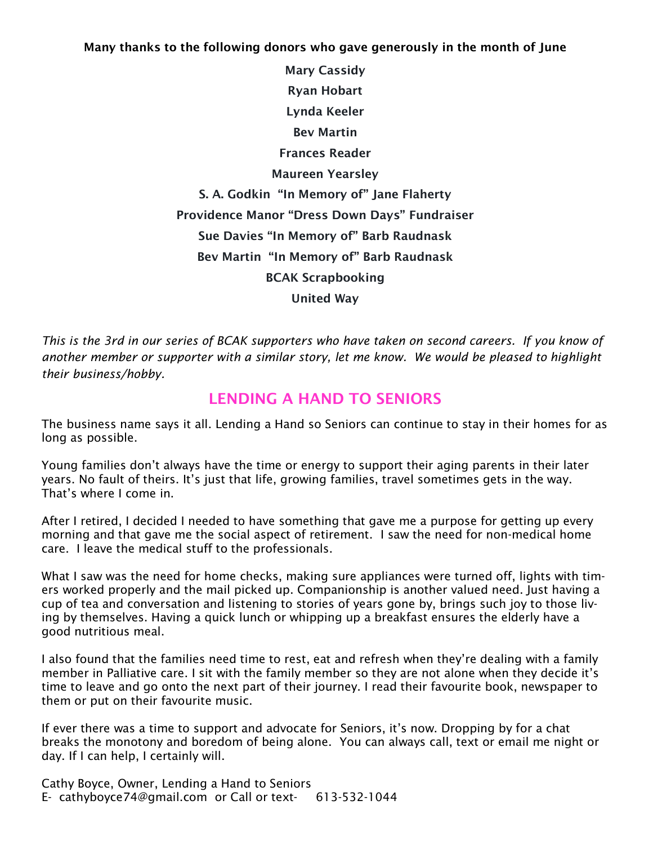Many thanks to the following donors who gave generously in the month of June

Mary Cassidy Ryan Hobart Lynda Keeler Bev Martin Frances Reader Maureen Yearsley S. A. Godkin "In Memory of" Jane Flaherty Providence Manor "Dress Down Days" Fundraiser Sue Davies "In Memory of" Barb Raudnask Bev Martin "In Memory of" Barb Raudnask BCAK Scrapbooking United Way

*This is the 3rd in our series of BCAK supporters who have taken on second careers. If you know of another member or supporter with a similar story, let me know. We would be pleased to highlight their business/hobby.*

## LENDING A HAND TO SENIORS

The business name says it all. Lending a Hand so Seniors can continue to stay in their homes for as long as possible.

Young families don't always have the time or energy to support their aging parents in their later years. No fault of theirs. It's just that life, growing families, travel sometimes gets in the way. That's where I come in.

After I retired, I decided I needed to have something that gave me a purpose for getting up every morning and that gave me the social aspect of retirement. I saw the need for non-medical home care. I leave the medical stuff to the professionals.

What I saw was the need for home checks, making sure appliances were turned off, lights with timers worked properly and the mail picked up. Companionship is another valued need. Just having a cup of tea and conversation and listening to stories of years gone by, brings such joy to those living by themselves. Having a quick lunch or whipping up a breakfast ensures the elderly have a good nutritious meal.

I also found that the families need time to rest, eat and refresh when they're dealing with a family member in Palliative care. I sit with the family member so they are not alone when they decide it's time to leave and go onto the next part of their journey. I read their favourite book, newspaper to them or put on their favourite music.

If ever there was a time to support and advocate for Seniors, it's now. Dropping by for a chat breaks the monotony and boredom of being alone. You can always call, text or email me night or day. If I can help, I certainly will.

Cathy Boyce, Owner, Lending a Hand to Seniors E- cathyboyce74@gmail.com or Call or text- 613-532-1044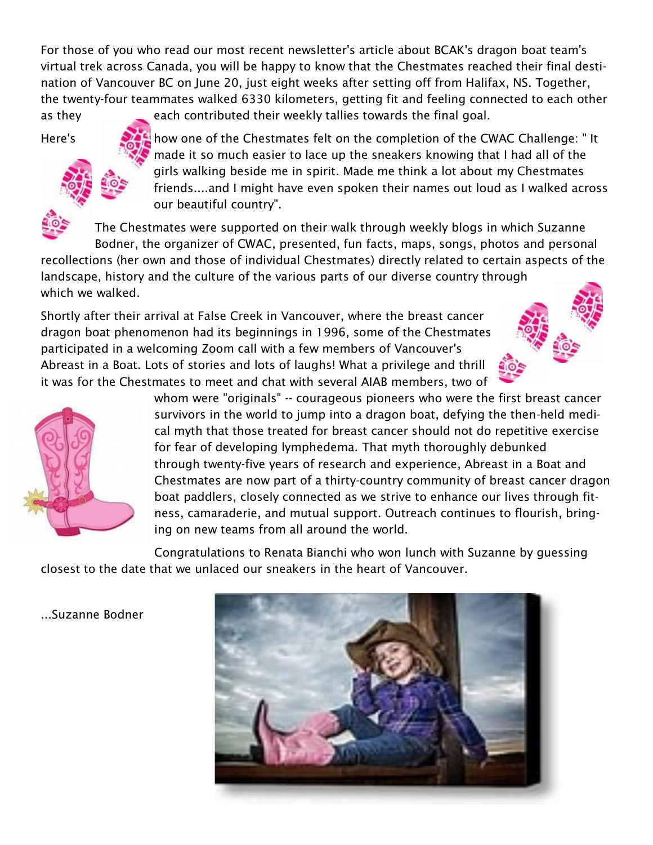For those of you who read our most recent newsletter's article about BCAK's dragon boat team's virtual trek across Canada, you will be happy to know that the Chestmates reached their final destination of Vancouver BC on June 20, just eight weeks after setting off from Halifax, NS. Together, the twenty-four teammates walked 6330 kilometers, getting fit and feeling connected to each other as they each contributed their weekly tallies towards the final goal.



Here's **how one of the Chestmates felt on the completion of the CWAC Challenge:** " It made it so much easier to lace up the sneakers knowing that I had all of the girls walking beside me in spirit. Made me think a lot about my Chestmates friends....and I might have even spoken their names out loud as I walked across our beautiful country".

The Chestmates were supported on their walk through weekly blogs in which Suzanne Bodner, the organizer of CWAC, presented, fun facts, maps, songs, photos and personal

recollections (her own and those of individual Chestmates) directly related to certain aspects of the landscape, history and the culture of the various parts of our diverse country through which we walked.

Shortly after their arrival at False Creek in Vancouver, where the breast cancer dragon boat phenomenon had its beginnings in 1996, some of the Chestmates participated in a welcoming Zoom call with a few members of Vancouver's Abreast in a Boat. Lots of stories and lots of laughs! What a privilege and thrill it was for the Chestmates to meet and chat with several AIAB members, two of





whom were "originals" -- courageous pioneers who were the first breast cancer survivors in the world to jump into a dragon boat, defying the then-held medical myth that those treated for breast cancer should not do repetitive exercise for fear of developing lymphedema. That myth thoroughly debunked through twenty-five years of research and experience, Abreast in a Boat and Chestmates are now part of a thirty-country community of breast cancer dragon boat paddlers, closely connected as we strive to enhance our lives through fitness, camaraderie, and mutual support. Outreach continues to flourish, bringing on new teams from all around the world.

Congratulations to Renata Bianchi who won lunch with Suzanne by guessing closest to the date that we unlaced our sneakers in the heart of Vancouver.



...Suzanne Bodner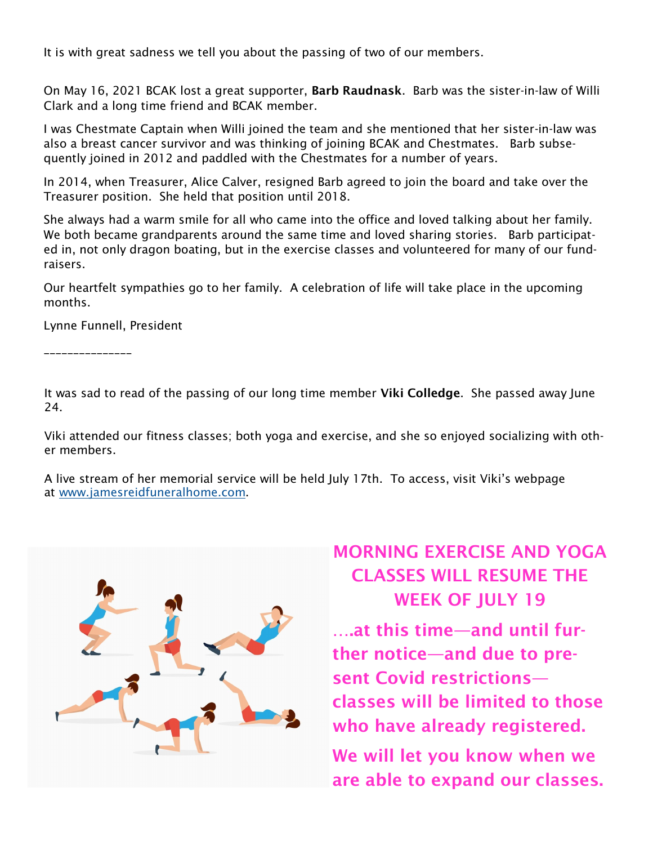It is with great sadness we tell you about the passing of two of our members.

On May 16, 2021 BCAK lost a great supporter, Barb Raudnask. Barb was the sister-in-law of Willi Clark and a long time friend and BCAK member.

I was Chestmate Captain when Willi joined the team and she mentioned that her sister-in-law was also a breast cancer survivor and was thinking of joining BCAK and Chestmates. Barb subsequently joined in 2012 and paddled with the Chestmates for a number of years.

In 2014, when Treasurer, Alice Calver, resigned Barb agreed to join the board and take over the Treasurer position. She held that position until 2018.

She always had a warm smile for all who came into the office and loved talking about her family. We both became grandparents around the same time and loved sharing stories. Barb participated in, not only dragon boating, but in the exercise classes and volunteered for many of our fundraisers.

Our heartfelt sympathies go to her family. A celebration of life will take place in the upcoming months.

Lynne Funnell, President

\_\_\_\_\_\_\_\_\_\_\_\_\_\_\_

It was sad to read of the passing of our long time member Viki Colledge. She passed away June 24.

Viki attended our fitness classes; both yoga and exercise, and she so enjoyed socializing with other members.

A live stream of her memorial service will be held July 17th. To access, visit Viki's webpage at [www.jamesreidfuneralhome.com.](http://www.jamesreidfuneralhome.com/)



## MORNING EXERCISE AND YOGA CLASSES WILL RESUME THE WEEK OF JULY 19

….at this time—and until further notice—and due to present Covid restrictions classes will be limited to those who have already registered. We will let you know when we are able to expand our classes.